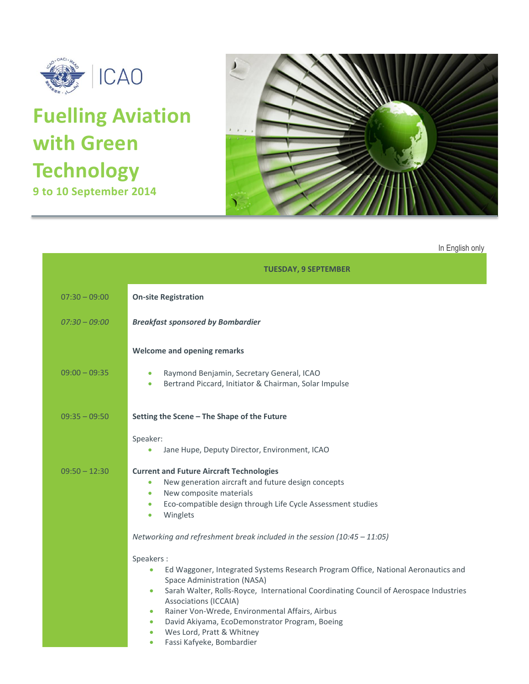

# **Fuelling Aviation with Green Technology 9 to 10 September 2014**



In English only

|                 | <b>TUESDAY, 9 SEPTEMBER</b>                                                                                                                                                                                                                                                                                                                                                                                                                                                          |
|-----------------|--------------------------------------------------------------------------------------------------------------------------------------------------------------------------------------------------------------------------------------------------------------------------------------------------------------------------------------------------------------------------------------------------------------------------------------------------------------------------------------|
| $07:30 - 09:00$ | <b>On-site Registration</b>                                                                                                                                                                                                                                                                                                                                                                                                                                                          |
| $07:30 - 09:00$ | <b>Breakfast sponsored by Bombardier</b>                                                                                                                                                                                                                                                                                                                                                                                                                                             |
| $09:00 - 09:35$ | <b>Welcome and opening remarks</b><br>Raymond Benjamin, Secretary General, ICAO<br>$\bullet$<br>Bertrand Piccard, Initiator & Chairman, Solar Impulse<br>۰                                                                                                                                                                                                                                                                                                                           |
| $09:35 - 09:50$ | Setting the Scene - The Shape of the Future                                                                                                                                                                                                                                                                                                                                                                                                                                          |
|                 | Speaker:<br>Jane Hupe, Deputy Director, Environment, ICAO<br>$\bullet$                                                                                                                                                                                                                                                                                                                                                                                                               |
| $09:50 - 12:30$ | <b>Current and Future Aircraft Technologies</b><br>New generation aircraft and future design concepts<br>$\bullet$<br>New composite materials<br>۰<br>Eco-compatible design through Life Cycle Assessment studies<br>$\bullet$<br>Winglets<br>$\bullet$                                                                                                                                                                                                                              |
|                 | Networking and refreshment break included in the session $(10:45 - 11:05)$                                                                                                                                                                                                                                                                                                                                                                                                           |
|                 | Speakers:<br>Ed Waggoner, Integrated Systems Research Program Office, National Aeronautics and<br>$\bullet$<br>Space Administration (NASA)<br>Sarah Walter, Rolls-Royce, International Coordinating Council of Aerospace Industries<br>$\bullet$<br>Associations (ICCAIA)<br>Rainer Von-Wrede, Environmental Affairs, Airbus<br>$\bullet$<br>David Akiyama, EcoDemonstrator Program, Boeing<br>$\bullet$<br>Wes Lord, Pratt & Whitney<br>$\bullet$<br>Fassi Kafyeke, Bombardier<br>۰ |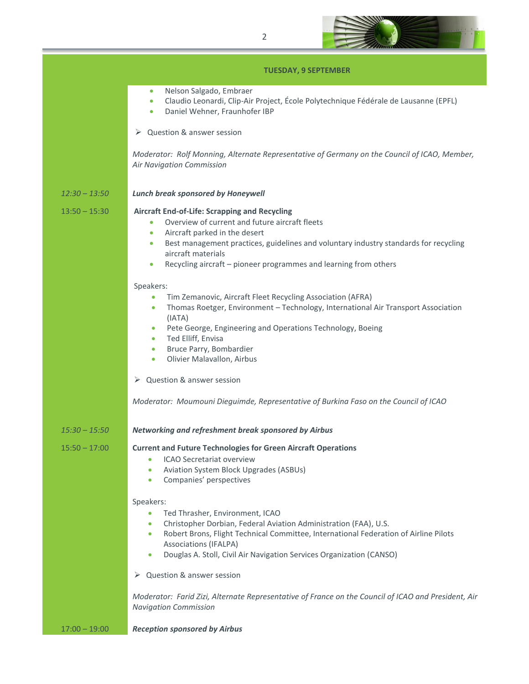

# **TUESDAY, 9 SEPTEMBER**

|                 | , 0690A, , , , 966, , 619611                                                                                                                                                                                                                                                                                                                                                              |  |  |
|-----------------|-------------------------------------------------------------------------------------------------------------------------------------------------------------------------------------------------------------------------------------------------------------------------------------------------------------------------------------------------------------------------------------------|--|--|
|                 | Nelson Salgado, Embraer<br>$\bullet$<br>Claudio Leonardi, Clip-Air Project, École Polytechnique Fédérale de Lausanne (EPFL)<br>$\bullet$<br>Daniel Wehner, Fraunhofer IBP<br>$\bullet$                                                                                                                                                                                                    |  |  |
|                 | Question & answer session<br>➤                                                                                                                                                                                                                                                                                                                                                            |  |  |
|                 | Moderator: Rolf Monning, Alternate Representative of Germany on the Council of ICAO, Member,<br>Air Navigation Commission                                                                                                                                                                                                                                                                 |  |  |
| $12:30 - 13:50$ | <b>Lunch break sponsored by Honeywell</b>                                                                                                                                                                                                                                                                                                                                                 |  |  |
| $13:50 - 15:30$ | <b>Aircraft End-of-Life: Scrapping and Recycling</b><br>Overview of current and future aircraft fleets<br>$\bullet$<br>Aircraft parked in the desert<br>$\bullet$<br>Best management practices, guidelines and voluntary industry standards for recycling<br>$\bullet$<br>aircraft materials<br>Recycling aircraft - pioneer programmes and learning from others<br>$\bullet$             |  |  |
|                 | Speakers:<br>Tim Zemanovic, Aircraft Fleet Recycling Association (AFRA)<br>$\bullet$<br>Thomas Roetger, Environment - Technology, International Air Transport Association<br>$\bullet$<br>(IATA)<br>Pete George, Engineering and Operations Technology, Boeing<br>۰<br>Ted Elliff, Envisa<br>$\bullet$<br>Bruce Parry, Bombardier<br>$\bullet$<br>Olivier Malavallon, Airbus<br>$\bullet$ |  |  |
|                 | Question & answer session<br>➤                                                                                                                                                                                                                                                                                                                                                            |  |  |
|                 | Moderator: Moumouni Dieguimde, Representative of Burkina Faso on the Council of ICAO                                                                                                                                                                                                                                                                                                      |  |  |
| $15:30 - 15:50$ | Networking and refreshment break sponsored by Airbus                                                                                                                                                                                                                                                                                                                                      |  |  |
| $15:50 - 17:00$ | <b>Current and Future Technologies for Green Aircraft Operations</b><br>ICAO Secretariat overview<br><b>Aviation System Block Upgrades (ASBUs)</b><br>٠<br>Companies' perspectives<br>$\bullet$                                                                                                                                                                                           |  |  |
|                 | Speakers:<br>Ted Thrasher, Environment, ICAO<br>$\bullet$<br>Christopher Dorbian, Federal Aviation Administration (FAA), U.S.<br>۰<br>Robert Brons, Flight Technical Committee, International Federation of Airline Pilots<br>۰<br><b>Associations (IFALPA)</b><br>Douglas A. Stoll, Civil Air Navigation Services Organization (CANSO)<br>۰                                              |  |  |
|                 | Question & answer session<br>➤                                                                                                                                                                                                                                                                                                                                                            |  |  |
|                 | Moderator: Farid Zizi, Alternate Representative of France on the Council of ICAO and President, Air<br><b>Navigation Commission</b>                                                                                                                                                                                                                                                       |  |  |

17:00 – 19:00 *Reception sponsored by Airbus*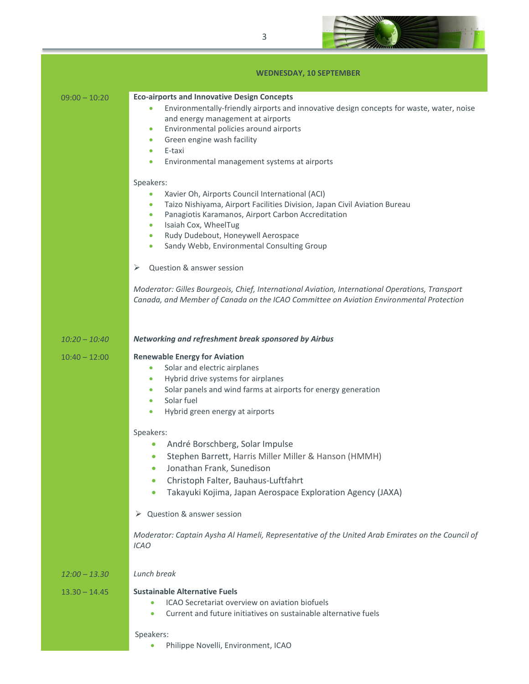

## **WEDNESDAY, 10 SEPTEMBER**

|  | $09:00 - 10:20$ |  |
|--|-----------------|--|

| $09:00 - 10:20$ | <b>Eco-airports and Innovative Design Concepts</b> |
|-----------------|----------------------------------------------------|
|-----------------|----------------------------------------------------|

- Environmentally-friendly airports and innovative design concepts for waste, water, noise and energy management at airports
- Environmental policies around airports
- Green engine wash facility
- E-taxi
- Environmental management systems at airports

### Speakers:

- Xavier Oh, Airports Council International (ACI)
- Taizo Nishiyama, Airport Facilities Division, Japan Civil Aviation Bureau
- Panagiotis Karamanos, Airport Carbon Accreditation
- Isaiah Cox, WheelTug
- Rudy Dudebout, Honeywell Aerospace
- Sandy Webb, Environmental Consulting Group
- $\triangleright$  Ouestion & answer session

*Moderator: Gilles Bourgeois, Chief, International Aviation, International Operations, Transport Canada, and Member of Canada on the ICAO Committee on Aviation Environmental Protection*

#### *10:20 – 10:40 Networking and refreshment break sponsored by Airbus*

# 10:40 – 12:00 **Renewable Energy for Aviation**

- Solar and electric airplanes
- Hybrid drive systems for airplanes
- Solar panels and wind farms at airports for energy generation
- Solar fuel
- Hybrid green energy at airports

### Speakers:

- André Borschberg, Solar Impulse
- Stephen Barrett, Harris Miller Miller & Hanson (HMMH)
- Jonathan Frank, Sunedison
- Christoph Falter, Bauhaus-Luftfahrt
- Takayuki Kojima, Japan Aerospace Exploration Agency (JAXA)

## Question & answer session

*Moderator: Captain Aysha Al Hameli, Representative of the United Arab Emirates on the Council of ICAO*

## *12:00 – 13.30 Lunch break*

# 13.30 – 14.45 **Sustainable Alternative Fuels**

- ICAO Secretariat overview on aviation biofuels
- Current and future initiatives on sustainable alternative fuels

#### Speakers:

**•** Philippe Novelli, Environment, ICAO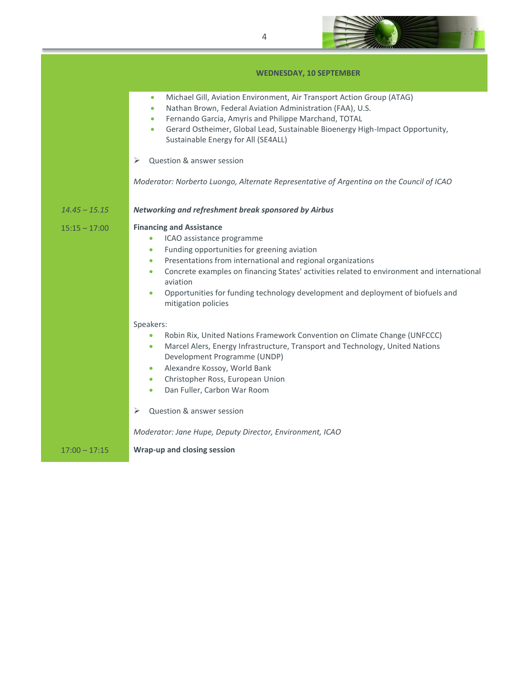

# **WEDNESDAY, 10 SEPTEMBER**

|                 | Michael Gill, Aviation Environment, Air Transport Action Group (ATAG)<br>$\bullet$<br>Nathan Brown, Federal Aviation Administration (FAA), U.S.<br>$\bullet$<br>Fernando Garcia, Amyris and Philippe Marchand, TOTAL<br>$\bullet$<br>Gerard Ostheimer, Global Lead, Sustainable Bioenergy High-Impact Opportunity,<br>$\bullet$<br>Sustainable Energy for All (SE4ALL)                                                             |
|-----------------|------------------------------------------------------------------------------------------------------------------------------------------------------------------------------------------------------------------------------------------------------------------------------------------------------------------------------------------------------------------------------------------------------------------------------------|
|                 | Question & answer session<br>⋗                                                                                                                                                                                                                                                                                                                                                                                                     |
|                 | Moderator: Norberto Luongo, Alternate Representative of Argentina on the Council of ICAO                                                                                                                                                                                                                                                                                                                                           |
| $14.45 - 15.15$ | Networking and refreshment break sponsored by Airbus                                                                                                                                                                                                                                                                                                                                                                               |
| $15:15 - 17:00$ | <b>Financing and Assistance</b><br>ICAO assistance programme<br>$\bullet$<br>Funding opportunities for greening aviation<br>۰<br>Presentations from international and regional organizations<br>۰<br>Concrete examples on financing States' activities related to environment and international<br>$\bullet$<br>aviation<br>Opportunities for funding technology development and deployment of biofuels and<br>mitigation policies |
|                 | Speakers:<br>Robin Rix, United Nations Framework Convention on Climate Change (UNFCCC)<br>۰<br>Marcel Alers, Energy Infrastructure, Transport and Technology, United Nations<br>۰<br>Development Programme (UNDP)<br>Alexandre Kossoy, World Bank<br>۰<br>Christopher Ross, European Union<br>$\bullet$<br>Dan Fuller, Carbon War Room<br>$\bullet$                                                                                |
|                 | Question & answer session<br>➤                                                                                                                                                                                                                                                                                                                                                                                                     |
|                 | Moderator: Jane Hupe, Deputy Director, Environment, ICAO                                                                                                                                                                                                                                                                                                                                                                           |
| $17:00 - 17:15$ | Wrap-up and closing session                                                                                                                                                                                                                                                                                                                                                                                                        |